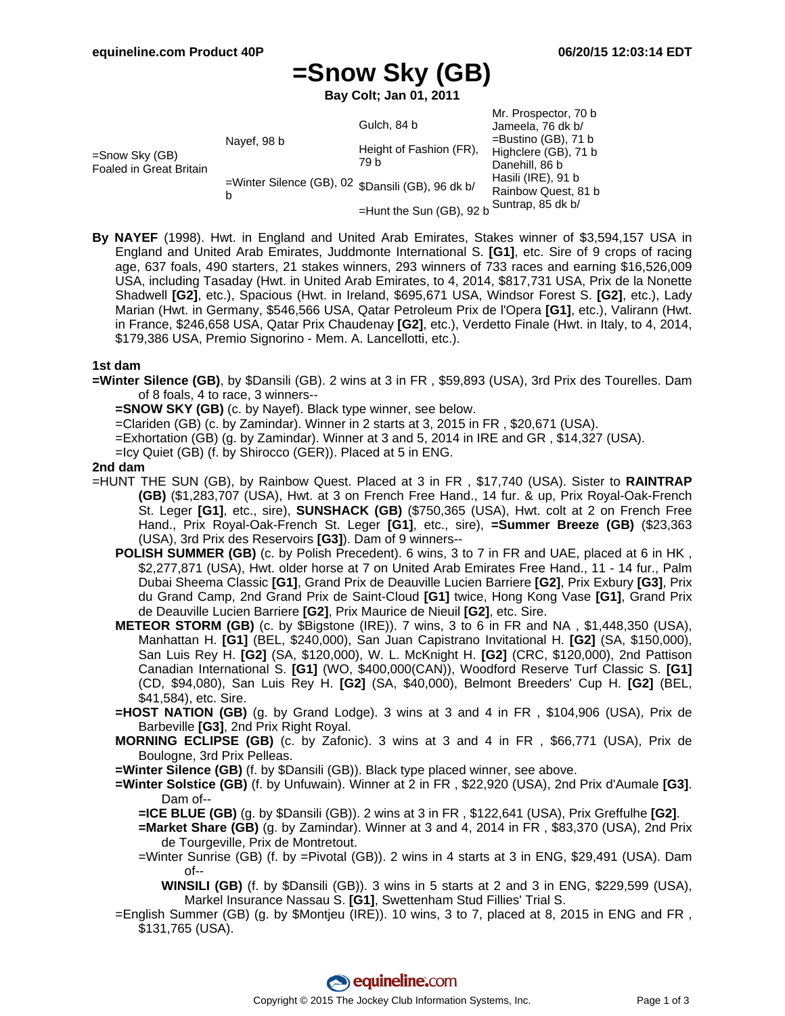# **=Snow Sky (GB)**

**Bay Colt; Jan 01, 2011**

|                                           |                                                        | Gulch, 84 b                     | Mr. Prospector, 70 b<br>Jameela, 76 dk b/                                                                     |
|-------------------------------------------|--------------------------------------------------------|---------------------------------|---------------------------------------------------------------------------------------------------------------|
| =Snow Sky (GB)<br>Foaled in Great Britain | Navef, 98 b                                            | Height of Fashion (FR),<br>79 b | $=$ Bustino (GB), 71 b<br>Highclere (GB), 71 b<br>Danehill, 86 b<br>Hasili (IRE), 91 b<br>Rainbow Quest, 81 b |
|                                           | =Winter Silence (GB), 02 \$Dansili (GB), 96 dk b/<br>h |                                 |                                                                                                               |
|                                           |                                                        | =Hunt the Sun (GB), 92 b        | Suntrap, 85 dk b/                                                                                             |

**By NAYEF** (1998). Hwt. in England and United Arab Emirates, Stakes winner of \$3,594,157 USA in England and United Arab Emirates, Juddmonte International S. **[G1]**, etc. Sire of 9 crops of racing age, 637 foals, 490 starters, 21 stakes winners, 293 winners of 733 races and earning \$16,526,009 USA, including Tasaday (Hwt. in United Arab Emirates, to 4, 2014, \$817,731 USA, Prix de la Nonette Shadwell **[G2]**, etc.), Spacious (Hwt. in Ireland, \$695,671 USA, Windsor Forest S. **[G2]**, etc.), Lady Marian (Hwt. in Germany, \$546,566 USA, Qatar Petroleum Prix de l'Opera **[G1]**, etc.), Valirann (Hwt. in France, \$246,658 USA, Qatar Prix Chaudenay **[G2]**, etc.), Verdetto Finale (Hwt. in Italy, to 4, 2014, \$179,386 USA, Premio Signorino - Mem. A. Lancellotti, etc.).

### **1st dam**

- **=Winter Silence (GB)**, by \$Dansili (GB). 2 wins at 3 in FR , \$59,893 (USA), 3rd Prix des Tourelles. Dam of 8 foals, 4 to race, 3 winners--
	- **=SNOW SKY (GB)** (c. by Nayef). Black type winner, see below.
	- =Clariden (GB) (c. by Zamindar). Winner in 2 starts at 3, 2015 in FR , \$20,671 (USA).
	- =Exhortation (GB) (g. by Zamindar). Winner at 3 and 5, 2014 in IRE and GR , \$14,327 (USA).
	- =Icy Quiet (GB) (f. by Shirocco (GER)). Placed at 5 in ENG.

### **2nd dam**

- =HUNT THE SUN (GB), by Rainbow Quest. Placed at 3 in FR , \$17,740 (USA). Sister to **RAINTRAP (GB)** (\$1,283,707 (USA), Hwt. at 3 on French Free Hand., 14 fur. & up, Prix Royal-Oak-French St. Leger **[G1]**, etc., sire), **SUNSHACK (GB)** (\$750,365 (USA), Hwt. colt at 2 on French Free Hand., Prix Royal-Oak-French St. Leger **[G1]**, etc., sire), **=Summer Breeze (GB)** (\$23,363 (USA), 3rd Prix des Reservoirs **[G3]**). Dam of 9 winners--
	- **POLISH SUMMER (GB)** (c. by Polish Precedent). 6 wins, 3 to 7 in FR and UAE, placed at 6 in HK, \$2,277,871 (USA), Hwt. older horse at 7 on United Arab Emirates Free Hand., 11 - 14 fur., Palm Dubai Sheema Classic **[G1]**, Grand Prix de Deauville Lucien Barriere **[G2]**, Prix Exbury **[G3]**, Prix du Grand Camp, 2nd Grand Prix de Saint-Cloud **[G1]** twice, Hong Kong Vase **[G1]**, Grand Prix de Deauville Lucien Barriere **[G2]**, Prix Maurice de Nieuil **[G2]**, etc. Sire.
	- **METEOR STORM (GB)** (c. by \$Bigstone (IRE)). 7 wins, 3 to 6 in FR and NA , \$1,448,350 (USA), Manhattan H. **[G1]** (BEL, \$240,000), San Juan Capistrano Invitational H. **[G2]** (SA, \$150,000), San Luis Rey H. **[G2]** (SA, \$120,000), W. L. McKnight H. **[G2]** (CRC, \$120,000), 2nd Pattison Canadian International S. **[G1]** (WO, \$400,000(CAN)), Woodford Reserve Turf Classic S. **[G1]** (CD, \$94,080), San Luis Rey H. **[G2]** (SA, \$40,000), Belmont Breeders' Cup H. **[G2]** (BEL, \$41,584), etc. Sire.
	- **=HOST NATION (GB)** (g. by Grand Lodge). 3 wins at 3 and 4 in FR , \$104,906 (USA), Prix de Barbeville **[G3]**, 2nd Prix Right Royal.
	- **MORNING ECLIPSE (GB)** (c. by Zafonic). 3 wins at 3 and 4 in FR , \$66,771 (USA), Prix de Boulogne, 3rd Prix Pelleas.
	- **=Winter Silence (GB)** (f. by \$Dansili (GB)). Black type placed winner, see above.
	- **=Winter Solstice (GB)** (f. by Unfuwain). Winner at 2 in FR , \$22,920 (USA), 2nd Prix d'Aumale **[G3]**. Dam of--
		- **=ICE BLUE (GB)** (g. by \$Dansili (GB)). 2 wins at 3 in FR , \$122,641 (USA), Prix Greffulhe **[G2]**.
		- **=Market Share (GB)** (g. by Zamindar). Winner at 3 and 4, 2014 in FR , \$83,370 (USA), 2nd Prix de Tourgeville, Prix de Montretout.
		- =Winter Sunrise (GB) (f. by =Pivotal (GB)). 2 wins in 4 starts at 3 in ENG, \$29,491 (USA). Dam of--
			- **WINSILI (GB)** (f. by \$Dansili (GB)). 3 wins in 5 starts at 2 and 3 in ENG, \$229,599 (USA), Markel Insurance Nassau S. **[G1]**, Swettenham Stud Fillies' Trial S.
	- =English Summer (GB) (g. by \$Montjeu (IRE)). 10 wins, 3 to 7, placed at 8, 2015 in ENG and FR , \$131,765 (USA).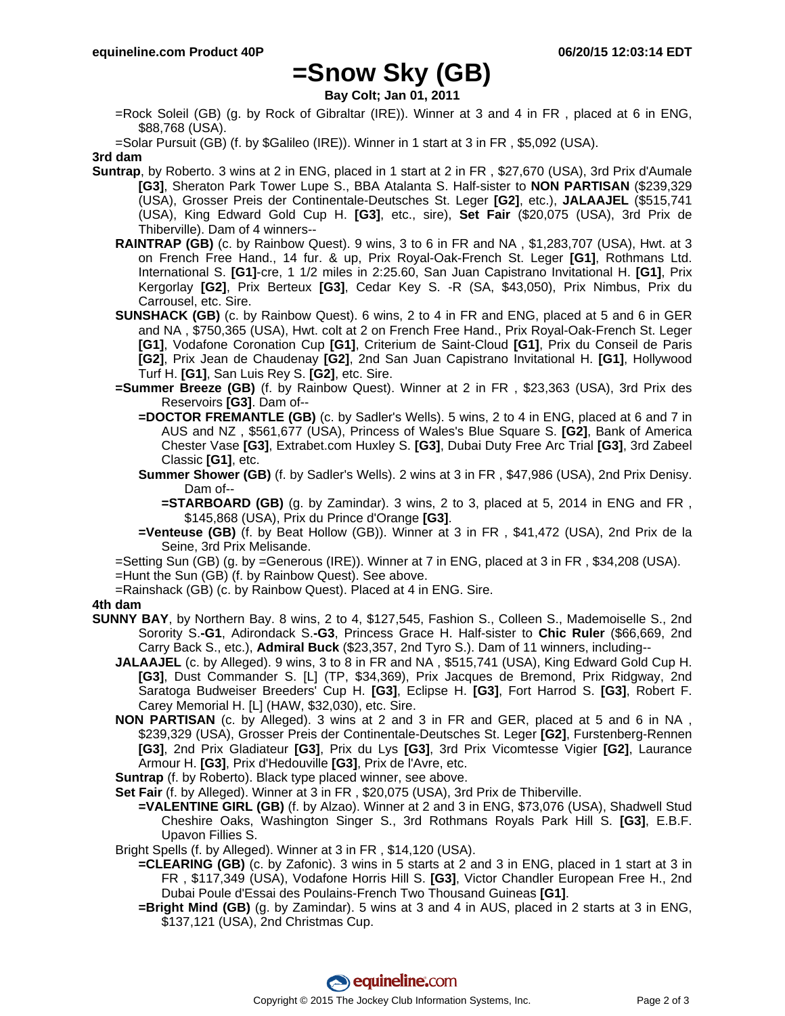### **=Snow Sky (GB)**

**Bay Colt; Jan 01, 2011**

=Rock Soleil (GB) (g. by Rock of Gibraltar (IRE)). Winner at 3 and 4 in FR , placed at 6 in ENG, \$88,768 (USA).

=Solar Pursuit (GB) (f. by \$Galileo (IRE)). Winner in 1 start at 3 in FR , \$5,092 (USA).

**3rd dam**

- **Suntrap**, by Roberto. 3 wins at 2 in ENG, placed in 1 start at 2 in FR , \$27,670 (USA), 3rd Prix d'Aumale **[G3]**, Sheraton Park Tower Lupe S., BBA Atalanta S. Half-sister to **NON PARTISAN** (\$239,329 (USA), Grosser Preis der Continentale-Deutsches St. Leger **[G2]**, etc.), **JALAAJEL** (\$515,741 (USA), King Edward Gold Cup H. **[G3]**, etc., sire), **Set Fair** (\$20,075 (USA), 3rd Prix de Thiberville). Dam of 4 winners--
	- **RAINTRAP (GB)** (c. by Rainbow Quest). 9 wins, 3 to 6 in FR and NA , \$1,283,707 (USA), Hwt. at 3 on French Free Hand., 14 fur. & up, Prix Royal-Oak-French St. Leger **[G1]**, Rothmans Ltd. International S. **[G1]**-cre, 1 1/2 miles in 2:25.60, San Juan Capistrano Invitational H. **[G1]**, Prix Kergorlay **[G2]**, Prix Berteux **[G3]**, Cedar Key S. -R (SA, \$43,050), Prix Nimbus, Prix du Carrousel, etc. Sire.
	- **SUNSHACK (GB)** (c. by Rainbow Quest). 6 wins, 2 to 4 in FR and ENG, placed at 5 and 6 in GER and NA , \$750,365 (USA), Hwt. colt at 2 on French Free Hand., Prix Royal-Oak-French St. Leger **[G1]**, Vodafone Coronation Cup **[G1]**, Criterium de Saint-Cloud **[G1]**, Prix du Conseil de Paris **[G2]**, Prix Jean de Chaudenay **[G2]**, 2nd San Juan Capistrano Invitational H. **[G1]**, Hollywood Turf H. **[G1]**, San Luis Rey S. **[G2]**, etc. Sire.
	- **=Summer Breeze (GB)** (f. by Rainbow Quest). Winner at 2 in FR , \$23,363 (USA), 3rd Prix des Reservoirs **[G3]**. Dam of--
		- **=DOCTOR FREMANTLE (GB)** (c. by Sadler's Wells). 5 wins, 2 to 4 in ENG, placed at 6 and 7 in AUS and NZ , \$561,677 (USA), Princess of Wales's Blue Square S. **[G2]**, Bank of America Chester Vase **[G3]**, Extrabet.com Huxley S. **[G3]**, Dubai Duty Free Arc Trial **[G3]**, 3rd Zabeel Classic **[G1]**, etc.
		- **Summer Shower (GB)** (f. by Sadler's Wells). 2 wins at 3 in FR , \$47,986 (USA), 2nd Prix Denisy. Dam of--
			- **=STARBOARD (GB)** (g. by Zamindar). 3 wins, 2 to 3, placed at 5, 2014 in ENG and FR , \$145,868 (USA), Prix du Prince d'Orange **[G3]**.
		- **=Venteuse (GB)** (f. by Beat Hollow (GB)). Winner at 3 in FR , \$41,472 (USA), 2nd Prix de la Seine, 3rd Prix Melisande.

=Setting Sun (GB) (g. by =Generous (IRE)). Winner at 7 in ENG, placed at 3 in FR , \$34,208 (USA).

- =Hunt the Sun (GB) (f. by Rainbow Quest). See above.
- =Rainshack (GB) (c. by Rainbow Quest). Placed at 4 in ENG. Sire.

### **4th dam**

- **SUNNY BAY**, by Northern Bay. 8 wins, 2 to 4, \$127,545, Fashion S., Colleen S., Mademoiselle S., 2nd Sorority S.**-G1**, Adirondack S.**-G3**, Princess Grace H. Half-sister to **Chic Ruler** (\$66,669, 2nd Carry Back S., etc.), **Admiral Buck** (\$23,357, 2nd Tyro S.). Dam of 11 winners, including--
	- **JALAAJEL** (c. by Alleged). 9 wins, 3 to 8 in FR and NA , \$515,741 (USA), King Edward Gold Cup H. **[G3]**, Dust Commander S. [L] (TP, \$34,369), Prix Jacques de Bremond, Prix Ridgway, 2nd Saratoga Budweiser Breeders' Cup H. **[G3]**, Eclipse H. **[G3]**, Fort Harrod S. **[G3]**, Robert F. Carey Memorial H. [L] (HAW, \$32,030), etc. Sire.
	- **NON PARTISAN** (c. by Alleged). 3 wins at 2 and 3 in FR and GER, placed at 5 and 6 in NA , \$239,329 (USA), Grosser Preis der Continentale-Deutsches St. Leger **[G2]**, Furstenberg-Rennen **[G3]**, 2nd Prix Gladiateur **[G3]**, Prix du Lys **[G3]**, 3rd Prix Vicomtesse Vigier **[G2]**, Laurance Armour H. **[G3]**, Prix d'Hedouville **[G3]**, Prix de l'Avre, etc.

**Suntrap** (f. by Roberto). Black type placed winner, see above.

**Set Fair** (f. by Alleged). Winner at 3 in FR , \$20,075 (USA), 3rd Prix de Thiberville.

**=VALENTINE GIRL (GB)** (f. by Alzao). Winner at 2 and 3 in ENG, \$73,076 (USA), Shadwell Stud Cheshire Oaks, Washington Singer S., 3rd Rothmans Royals Park Hill S. **[G3]**, E.B.F. Upavon Fillies S.

Bright Spells (f. by Alleged). Winner at 3 in FR , \$14,120 (USA).

- **=CLEARING (GB)** (c. by Zafonic). 3 wins in 5 starts at 2 and 3 in ENG, placed in 1 start at 3 in FR , \$117,349 (USA), Vodafone Horris Hill S. **[G3]**, Victor Chandler European Free H., 2nd Dubai Poule d'Essai des Poulains-French Two Thousand Guineas **[G1]**.
- **=Bright Mind (GB)** (g. by Zamindar). 5 wins at 3 and 4 in AUS, placed in 2 starts at 3 in ENG, \$137,121 (USA), 2nd Christmas Cup.